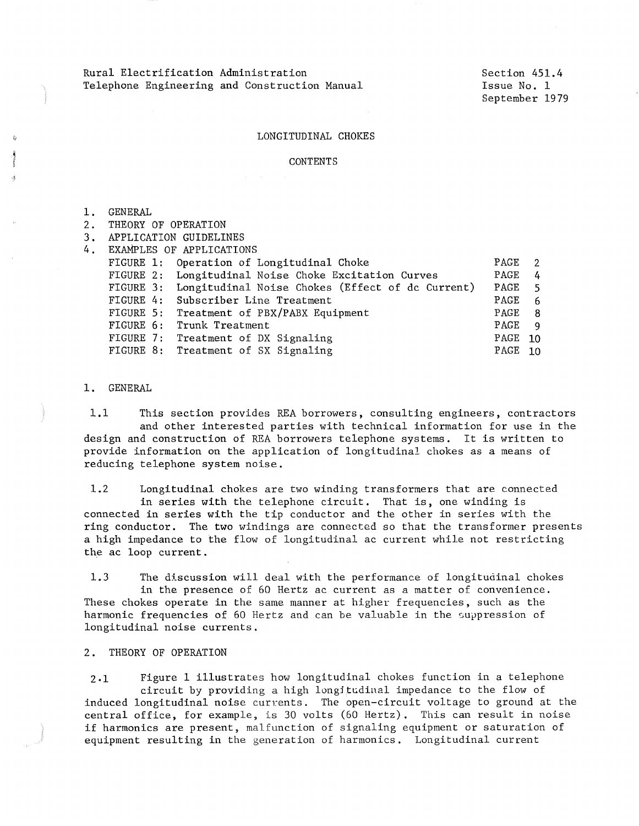Rural Electrification Administration Telephone Engineering and Construction Manual Section 451. 4 Issue No. 1 September 1979

## LONGITUDINAL CHOKES

## **CONTENTS**

- 1. GENERAL
- 2. THEORY OF OPERATION
- 3. APPLICATION GUIDELINES
- 4. EXAMPLES OF APPLICATIONS

| FIGURE 1: Operation of Longitudinal Choke                  | PAGE                                       | - 2           |
|------------------------------------------------------------|--------------------------------------------|---------------|
| FIGURE 2: Longitudinal Noise Choke Excitation Curves       | PAGE                                       | $\frac{1}{4}$ |
| FIGURE 3: Longitudinal Noise Chokes (Effect of dc Current) | PAGE                                       | - 5           |
| FIGURE 4: Subscriber Line Treatment                        | PAGE                                       | -6            |
| FIGURE 5: Treatment of PBX/PABX Equipment                  | $\mathbf{P}\mathbf{A}\mathbf{G}\mathbf{E}$ | - 8           |
| FIGURE 6: Trunk Treatment                                  | PAGE 9                                     |               |
| FIGURE 7: Treatment of DX Signaling                        | PAGE 10                                    |               |
| FIGURE 8: Treatment of SX Signaling                        | PAGE 10                                    |               |
|                                                            |                                            |               |

1. GENERAL

1.1 This section provides REA borrowers, consulting engineers, contractors and other interested parties with technical information for use in the design and construction of REA borrowers telephone systems. It is written to provide information on the application of longitudinal chokes as a means of reducing telephone system noise.

1.2 Longitudinal chokes are two winding transformers that are connected in series with the telephone circuit. That is, one winding is connected in series with the tip conductor and the other in series with the ring conductor. The two windings are connected so that the transformer presents a high impedance to the flow of longitudinal ac current while not restricting the ac loop current.

1.3 The discussion will deal with the performance of longitudinal chokes in the presence of 60 Hertz ac current as a matter of convenience. These chokes operate in the same manner at higher frequencies, such as the harmonic frequencies of 60 Hertz and can be valuable in the suppression of longitudinal noise currents.

## 2. THEORY OF OPERATION

2,1 Figure 1 illustrates how longitudinal chokes function in a telephone circuit by providing a high longitudinal impedance to the flow of induced longitudinal noise currents. The open-circuit voltage to ground at the central office, for example, is 30 volts (60 Hertz). This can result in noise if harmonics are present, malfunction of signaling equipment or saturation of equipment resulting in the generation of harmonics. Longitudinal current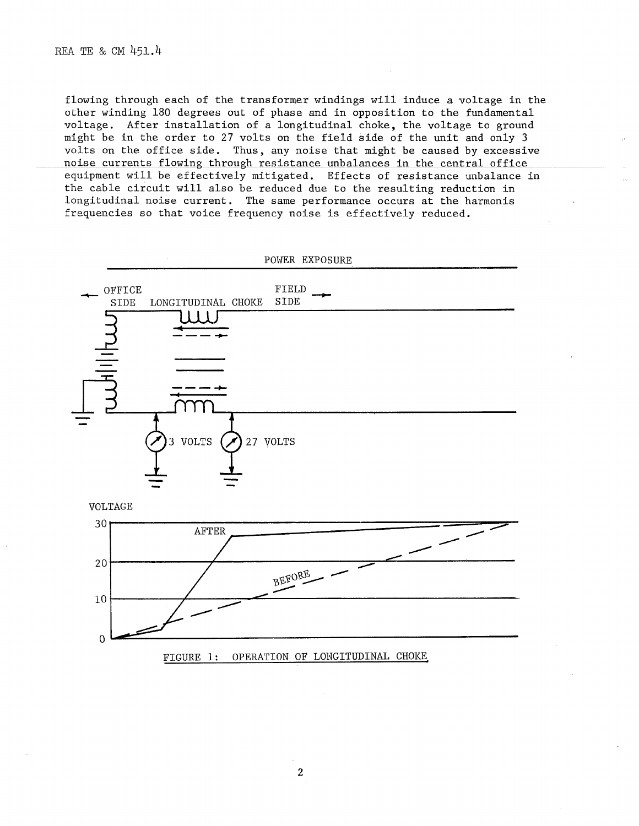flowing through each of the transformer windings will induce a voltage in the other winding 180 degrees out of phase and in opposition to the fundamental voltage. After installation of a longitudinal choke, the voltage to ground might be in the order to 27 volts on the field side of the unit and only 3 volts on the office side. Thus, any noise that might be caused by excessive noise currents flowing through resistance unbalances in the central office equipment will be effectively mitigated. Effects of resistance unbalance in the cable circuit will also be reduced due to the resulting reduction in longitudinal noise current. The same performance occurs at the harmonis frequencies so that voice frequency noise is effectively reduced.

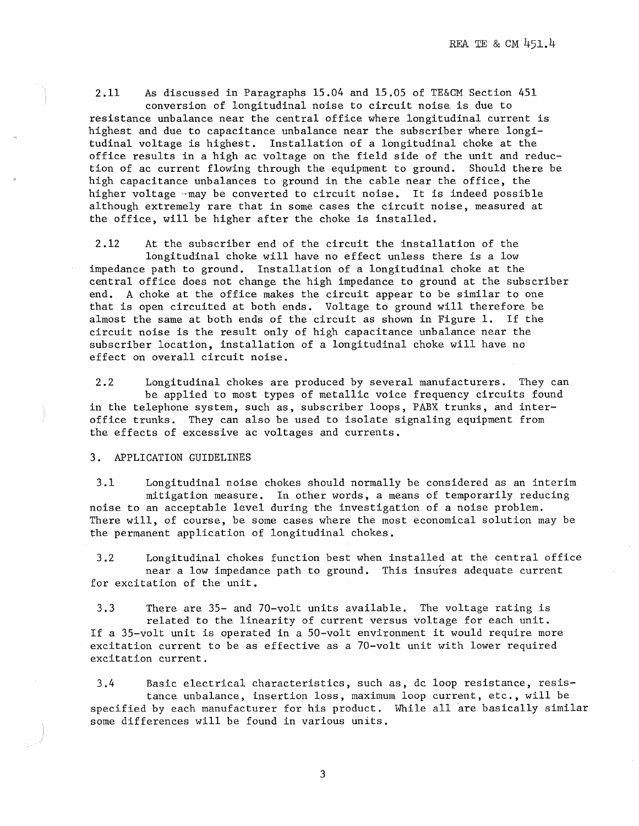2.11 As discussed in Paragraphs 15.04 and 15.05 of TE&CM Section 451 conversion of longitudinal noise to circuit noise. is due to resistance unbalance near the central office where longitudinal current is highest and due to capacitance unbalance near the subscriber where longitudinal voltage is highest. Installation of a longitudinal choke at the office results in a high ac voltage on the field side of the unit and reduction of ac current flowing through the equipment to ground. Should there be high capacitance unbalances to ground in the cable near the office, the higher voltage -may be converted to circuit noise. It is indeed possible although extremely rare that in some cases the circuit noise, measured at the office, will be higher after the choke is installed.

2.12 At the subscriber end of the circuit the installation of the longitudinal choke will have no effect unless there is a low impedance path to ground. Installation of a longitudinal choke at the central office does not change the high impedance to ground at the subscriber end. A choke at the office makes the circuit appear to be similar to one

that is open circuited at both ends. Voltage to ground will therefore be almost the same at both ends of the circuit as shown in Figure 1. If the circuit noise is the result only of high capacitance unbalance near the subscriber location, installation of a longitudinal choke will have no effect on overall circuit noise.

2.2 Longitudinal chokes are produced by several manufacturers. They can be applied to most types of metallic voice frequency circuits found in the telephone system, such as, subscriber loops, PABX trunks, and interoffice trunks. They can also be used to isolate signaling equipment from the effects of excessive ac voltages and currents.

3. APPLICATION GUIDELINES

3.1 Longitudinal noise chokes should normally be considered as an interim mitigation measure. In other words, a means of temporarily reducing noise to an acceptable level during the investigation of a noise problem. There will, of course, be some cases where the most economical solution may be the permanent application of longitudinal chokes.

3.2 Longitudinal chokes function best when installed at the central office near a low impedance path to ground. This insures adequate current for excitation of the unit.

3.3 There are 35- and 7O-volt units available. The voltage rating is related to the linearity of current versus voltage for each unit. If a 35-volt unit is operated in a SO-volt environment it would require more excitation current to be as effective as a 7O-volt unit with lower required excitation current.

3.4 Basic electrical characteristics, such as, de loop resistance, resistance unbalance, insertion loss, maximum loop current, etc., will be specified by each manufacturer for his product, While all are basically similar some differences will be found in various units,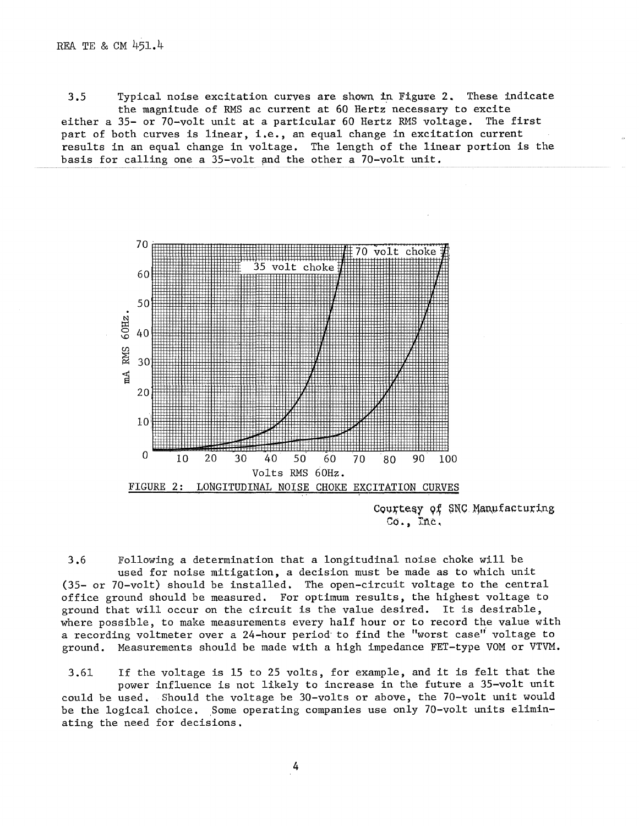3.5 Typical noise excitation curves are shown in Figure 2. These indicate the magnitude of RMS ac current at 60 Hertz necessary to excite either a 35- or 70-volt unit at a particular 60 Hertz RMS voltage. The first part of both curves is linear, i,e., an equal change in excitation current results in an equal change in voltage. The length of the linear portion is the basis for calling one a 35-yolt and the other a 70-yolt unit.



Co., Inc.

3,6 Following a determination that a longitudinal noise choke will be used for noise mitigation, a decision must be made as to which unit (35- or 70-volt) should be installed. The open-circuit voltage to the central office ground should be measured. For optimum results, the highest voltage to ground that will occur on the circuit is the value desired. It is desirable, where possible, to make measurements every half hour or to record the value with a recording voltmeter over a 24-hour period· to find the "worst case'i voltage to ground. Measurements should be made with a high impedance FET-type VOM or VTVM.

3.61 If the voltage is 15 to 25 volts, for example, and it is felt that the power influence is not likely to increase in the future a 35-volt unit could be used, Should the voltage be 30-volts or above, the 70-volt unit would be the logical choice. Some operating companies use only 70-volt units eliminating the need for decisions.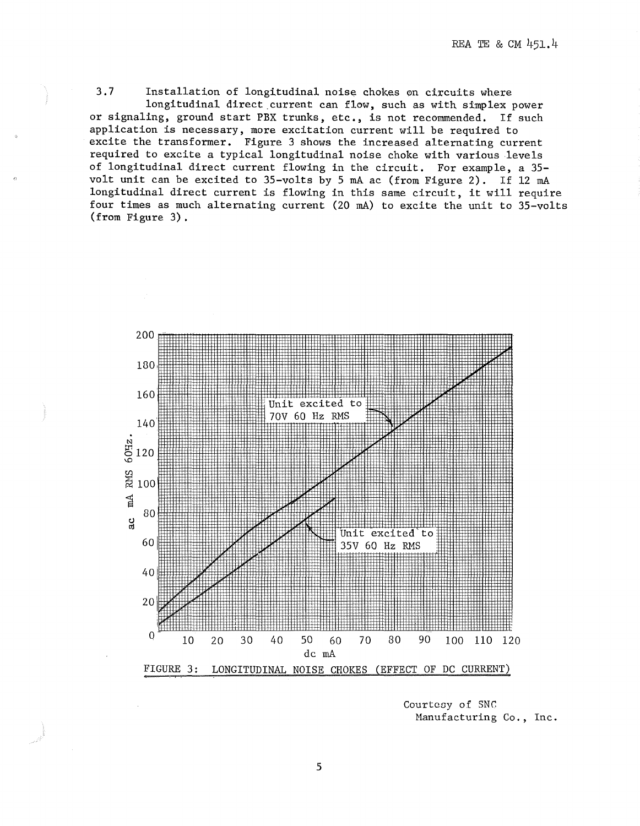3,7 Installation of longitudinal noise chokes on cixcuits where longitudinal direct current can flow, such as with simplex power or signaling, ground start PBX trunks, etc,, is not recommended. If such application is necessary, more excitation current will be required to excite the transformer, Figure 3 shows the increased alternating current required to excite a typical longitudinal noise choke with various levels of longitudinal direct current flowing in the circuit. For example, a 35 volt unit can be excited to 35-volts by 5 mA ac (from Figure 2). If 12 mA longitudinal direct current is flowing in this same circuit, it will require four times as much alternating current (20 mA) to excite the unit to 35-volts (from Figure 3).



Courtesy of SNC Manufacturing Co., Inc.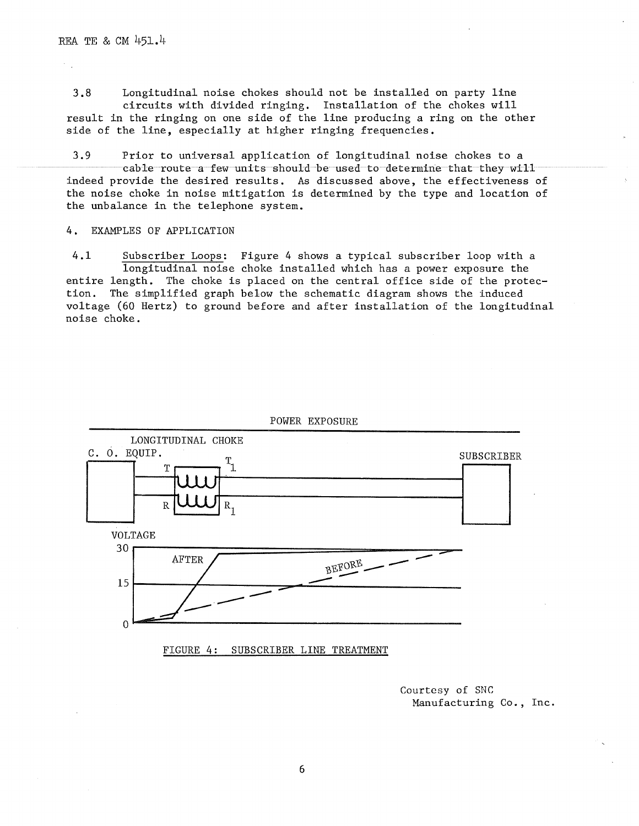3.8 Longitudinal noise chokes should not be installed on party line circuits with divided ringing, Installation of the chokes will result in the ringing on one side of the line producing a ring on the other side of the line, especially at higher ringing frequencies.

3.9 Prior to universal application of longitudinal noise chokes to a cable route a few units should -be used to determine that they will indeed provide the desired results. As discussed above, the effectiveness of the noise choke in noise mitigation is determined by the type and location of the unbalance in the telephone system.

## 4. EXAMPLES OF APPLICATION

4.1 Subscriber Loops: Figure 4 shows a typical subscriber loop with a longitudinal noise choke installed which has a power exposure the entire length. The choke is placed on the central office side of the protection. The simplified graph below the schematic diagram shows the induced voltage (60 Hertz) to ground before and after installation of the longitudinal noise choke.



FIGURE 4: SUBSCRIBER LINE TREATMENT

Courtesy of SNC Manufacturing Co., Inc.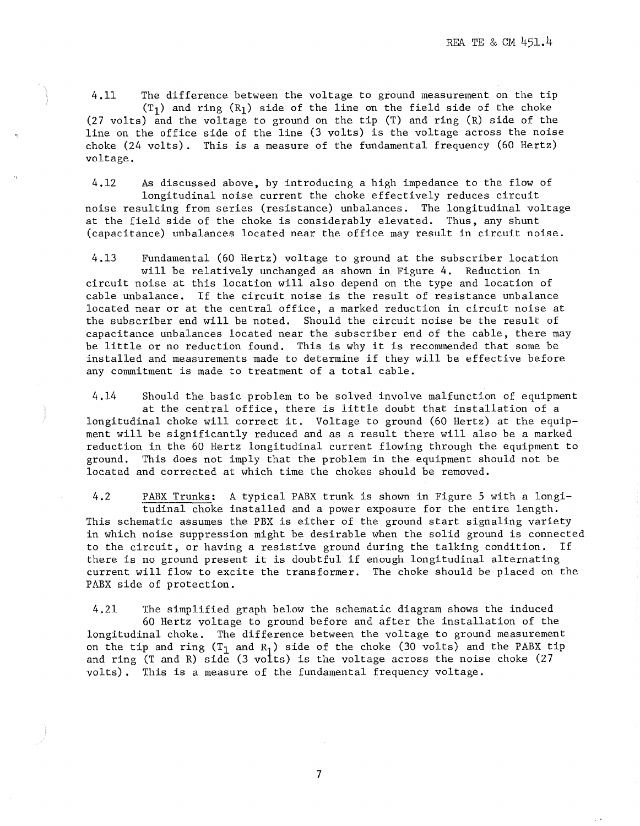4.11 The difference between the voltage to ground measurement on the tip  $(T_1)$  and ring  $(R_1)$  side of the line on the field side of the choke (27 volts) and the voltage to ground on the tip (T) and ring (R) side of the line on the office side of the line (3 volts) is the voltage across the noise choke (24 volts). This is a measure of the fundamental frequency (60 Hertz) voltage.

4.12 As discussed above, by introducing a high impedance to the flow of longitudinal noise current the choke effectively reduces circuit noise resulting from series (resistance) unbalances. The longitudinal voltage at the field side of the choke is considerably elevated. Thus, any shunt (capacitance) unbalances located near the office may result in circuit noise.

4.13 Fundamental (60 Hertz) voltage to ground at the subscriber location will be relatively unchanged as shown in Figure 4. Reduction in circuit noise at this location will also depend on the type and location of cable unbalance. If the circuit noise is the result of resistance unbalance located near or at the central office, a marked reduction in circuit noise at the subscriber end will be noted. Should the circuit noise be the result of capacitance unbalances located near the subscriber end of the cable, there may be little or no reduction found. This is why it is recommended that some be installed and measurements made to determine if they will be effective before any commitment is made to treatment of a total cable.

4.14 Should the basic problem to be solved involve malfunction of equipment at the central office, there is little doubt that installation of a longitudinal choke will correct it. Voltage to ground (60 Hertz) at the equipment will be significantly reduced and as a result there will also be a marked reduction in the 60 Hertz longitudinal current flowing through the equipment to ground. This does not imply that the problem in the equipment should not be located and corrected at which time the chokes should be removed.

4.2 PABX Trunks: A typical PABX trunk is shown in Figure 5 with a longitudinal choke installed and a power exposure for the entire length. This schematic assumes the PBX is either of the ground start signaling variety in which noise suppression might be desirable when the solid ground is connected to the circuit, or having a resistive ground during the talking condition. If there is no ground present it is doubtful if enough longitudinal alternating current will flow to excite the transformer. The choke should be placed on the PABX side of protection.

4.21 The simplified graph below the schematic diagram shows the induced 60 Hertz voltage to ground before and after the installation of the longitudinal choke. The difference between the voltage to ground measurement on the tip and ring (T<sub>1</sub> and R<sub>1</sub>) side of the choke (30 volts) and the PABX tip and ring (T and R) side (3 volts) is the voltage across the noise choke (27 volts). This is a measure of the fundamental frequency voltage.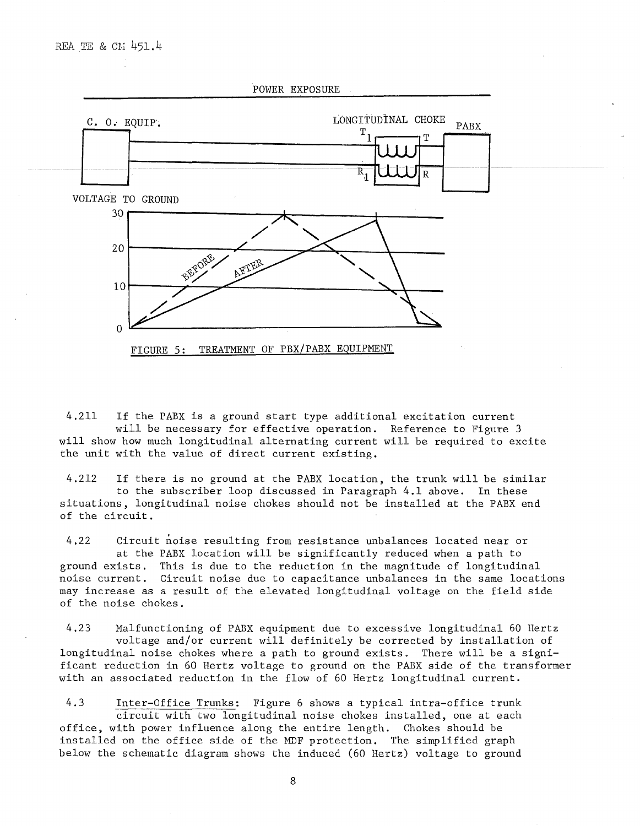

4.211 If the PABX is a ground start type additional excitation current will be necessary for effective operation. Reference to Figure 3 will show how much longitudinal alternating current will be required to excite the unit with the value of direct current existing.

4.212 If there is no ground at the PABX location, the trunk will be similar to the subscriber loop discussed in Paragraph 4.1 above. In these situations, longitudinal noise chokes should not be installed at the PABX end of the circuit.

4.22 Circuit noise resulting from resistance unbalances located near or at the PABX location will be significantly reduced when a path to ground exists. This is due to the reduction in the magnitude of longitudinal noise current. Circuit noise due to capacitance unbalances in the same locations may increase as a result of the elevated longitudinal voltage on the field side of the noise chokes.

4.23 Malfunctioning of PABX equipment due to excessive longitudinal 60 Hertz voltage and/or current will definitely be corrected by installation of longitudinal noise chokes where a path to ground exists. There will be a significant reduction in 60 Hertz voltage to ground on the PABX side of the transformer with an associated reduction in the flow of 60 Hertz longitudinal current.

4.3 Inter-Office Trunks: Figure 6 shows a typical intra-office trunk circuit with two longitudinal noise chokes installed, one at each office, with power influence along the entire length. Chokes should be installed on the office side of the MDF protection. The simplified graph below the schematic diagram shows the induced (60 Hertz) voltage to ground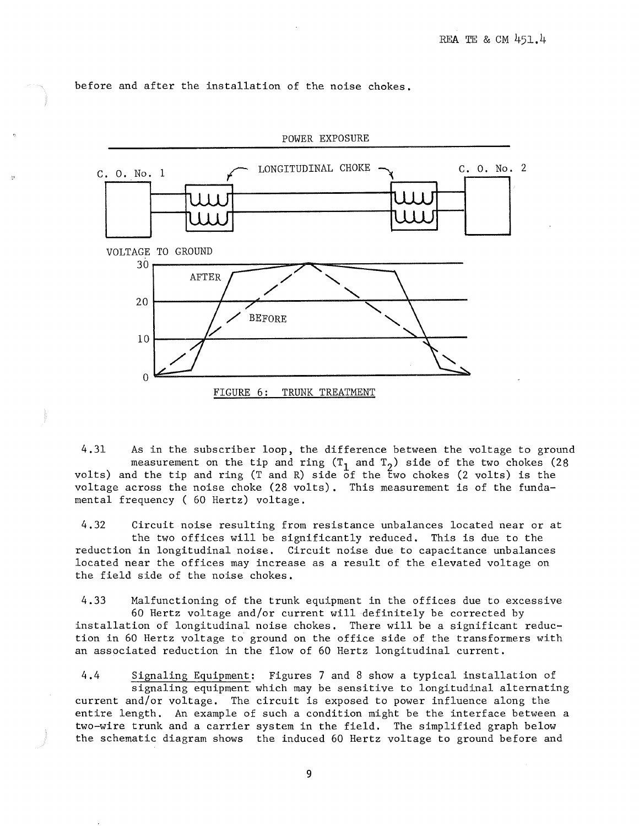

before and after the installation of the noise chokes,

4.31 As in the subscriber loop, the difference between the voltage to ground measurement on the tip and ring  $(T_1$  and  $T_2)$  side of the two chokes (28) volts) and the tip and ring (T and R) side of the two chokes (2 volts) is the voltage across the noise choke (28 volts). This measurement is of the fundamental frequency ( 60 Hertz) voltage.

4.32 Circuit noise resulting from resistance unbalances located near or at the two offices will be significantly reduced, This is due to the reduction in longitudinal noise. Circuit noise due to capacitance unbalances located near the offices may increase as a result of the elevated voltage on the field side of the noise chokes.

4.33 Malfunctioning of the trunk equipment in the offices due to excessive 60 Hertz voltage and/or current will definitely be corrected by installation of longitudinal noise chokes. There will be a significant reduction in 60 Hertz voltage to ground on the office side of the transformers with an associated reduction in the flow of 60 Hertz longitudinal current.

4.4 Signaling Equipment: Figures 7 and 8 show a typical installation of signaling equipment which may be sensitive to longitudinal alternating current and/or voltage. The circuit is exposed to power influence along the entire length. An example of such a condition might be the interface between a two-wire trunk and a carrier system in the field. The simplified graph below the schematic diagram shows the induced 60 Hertz voltage to ground before and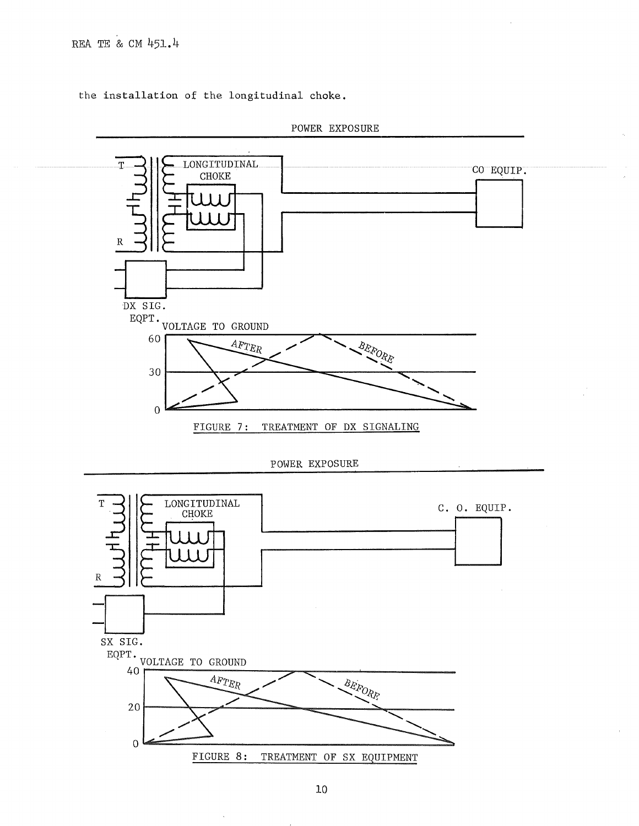the installation of the longitudinal choke.



```
POWER EXPOSURE
```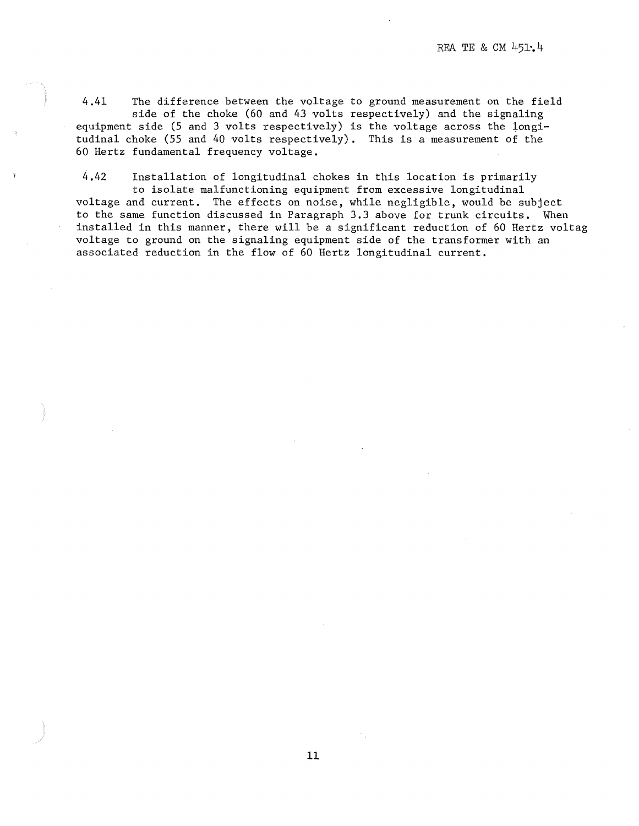4.41 The difference between the voltage to ground measurement on the field side of the choke (60 and 43 volts respectively) and the signaling equipment side (5 and 3 volts respectively) is the voltage across the longitudinal choke (55 and 40 volts respectively). This is a measurement of the 60 Hertz fundamental frequency voltage.

4.42 Installation of longitudinal chokes in this location is primarily

to isolate malfunctioning equipment from excessive longitudinal voltage and current. The effects on noise, while negligible, would be subject to the same function discussed in Paragraph 3.3 above for trunk circuits. When installed in this manner, there will be a significant reduction of 60 Hertz voltag voltage to ground on the signaling equipment side of the transformer with an associated reduction in the flow of 60 Hertz longitudinal current.